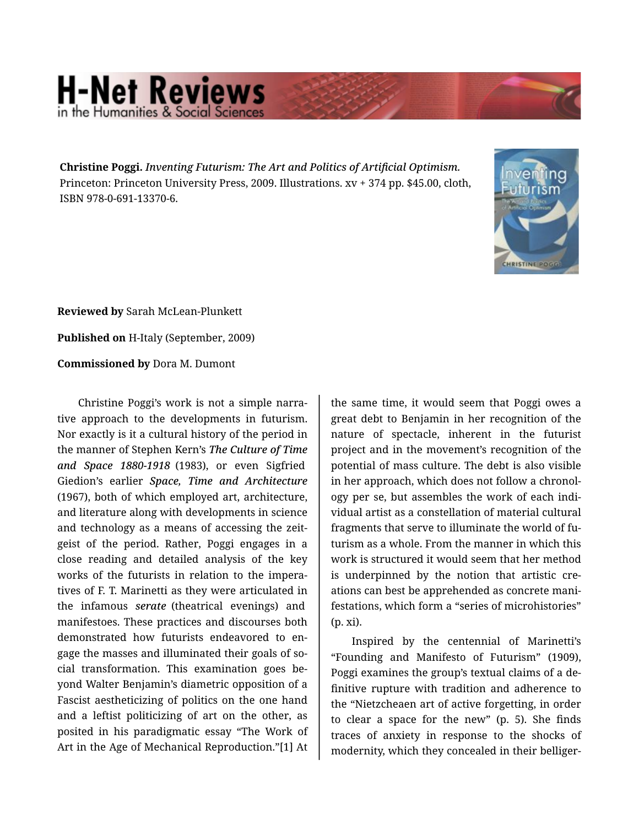## **H-Net Reviews** in the Humanities & Social Scie

**Christine Poggi.** *Inventing Futurism: The Art and Politics of Artificial Optimism.*  Princeton: Princeton University Press, 2009. Illustrations. xv + 374 pp. \$45.00, cloth, ISBN 978-0-691-13370-6.



**Reviewed by** Sarah McLean-Plunkett

**Published on** H-Italy (September, 2009)

**Commissioned by** Dora M. Dumont

Christine Poggi's work is not a simple narra‐ tive approach to the developments in futurism. Nor exactly is it a cultural history of the period in the manner of Stephen Kern's *The Culture of Time and Space 1880-1918* (1983), or even Sigfried Giedion's earlier *Space, Time and Architecture* (1967), both of which employed art, architecture, and literature along with developments in science and technology as a means of accessing the zeit‐ geist of the period. Rather, Poggi engages in a close reading and detailed analysis of the key works of the futurists in relation to the impera‐ tives of F. T. Marinetti as they were articulated in the infamous *serate* (theatrical evenings) and manifestoes. These practices and discourses both demonstrated how futurists endeavored to en‐ gage the masses and illuminated their goals of so‐ cial transformation. This examination goes be‐ yond Walter Benjamin's diametric opposition of a Fascist aestheticizing of politics on the one hand and a leftist politicizing of art on the other, as posited in his paradigmatic essay "The Work of Art in the Age of Mechanical Reproduction."[1] At

the same time, it would seem that Poggi owes a great debt to Benjamin in her recognition of the nature of spectacle, inherent in the futurist project and in the movement's recognition of the potential of mass culture. The debt is also visible in her approach, which does not follow a chronol‐ ogy per se, but assembles the work of each indi‐ vidual artist as a constellation of material cultural fragments that serve to illuminate the world of fu‐ turism as a whole. From the manner in which this work is structured it would seem that her method is underpinned by the notion that artistic creations can best be apprehended as concrete mani‐ festations, which form a "series of microhistories" (p. xi).

Inspired by the centennial of Marinetti's "Founding and Manifesto of Futurism" (1909), Poggi examines the group's textual claims of a de‐ finitive rupture with tradition and adherence to the "Nietzcheaen art of active forgetting, in order to clear a space for the new" (p. 5). She finds traces of anxiety in response to the shocks of modernity, which they concealed in their belliger‐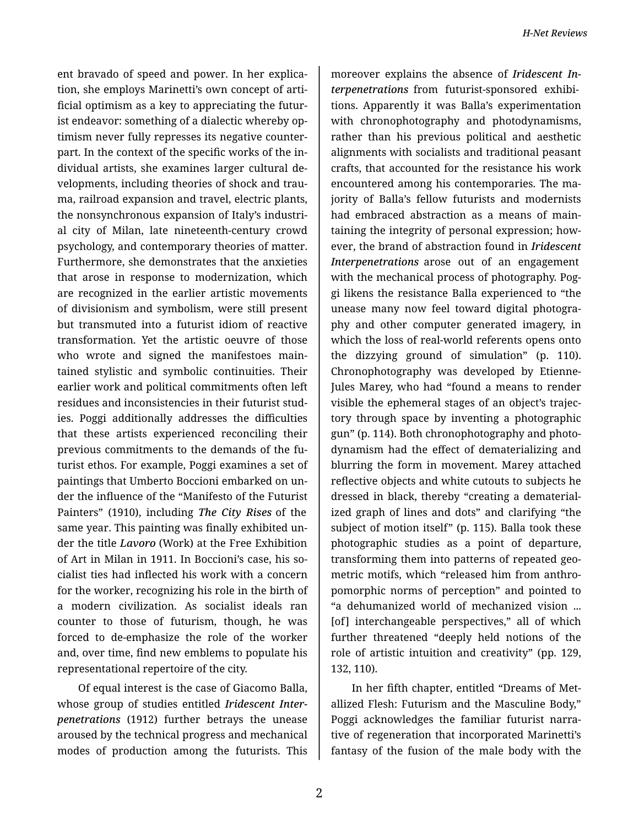ent bravado of speed and power. In her explica‐ tion, she employs Marinetti's own concept of arti‐ ficial optimism as a key to appreciating the futur‐ ist endeavor: something of a dialectic whereby optimism never fully represses its negative counter‐ part. In the context of the specific works of the in‐ dividual artists, she examines larger cultural de‐ velopments, including theories of shock and trau‐ ma, railroad expansion and travel, electric plants, the nonsynchronous expansion of Italy's industri‐ al city of Milan, late nineteenth-century crowd psychology, and contemporary theories of matter. Furthermore, she demonstrates that the anxieties that arose in response to modernization, which are recognized in the earlier artistic movements of divisionism and symbolism, were still present but transmuted into a futurist idiom of reactive transformation. Yet the artistic oeuvre of those who wrote and signed the manifestoes maintained stylistic and symbolic continuities. Their earlier work and political commitments often left residues and inconsistencies in their futurist stud‐ ies. Poggi additionally addresses the difficulties that these artists experienced reconciling their previous commitments to the demands of the fu‐ turist ethos. For example, Poggi examines a set of paintings that Umberto Boccioni embarked on un‐ der the influence of the "Manifesto of the Futurist Painters" (1910), including *The City Rises* of the same year. This painting was finally exhibited un‐ der the title *Lavoro* (Work) at the Free Exhibition of Art in Milan in 1911. In Boccioni's case, his so‐ cialist ties had inflected his work with a concern for the worker, recognizing his role in the birth of a modern civilization. As socialist ideals ran counter to those of futurism, though, he was forced to de-emphasize the role of the worker and, over time, find new emblems to populate his representational repertoire of the city.

Of equal interest is the case of Giacomo Balla, whose group of studies entitled *Iridescent Inter‐ penetrations* (1912) further betrays the unease aroused by the technical progress and mechanical modes of production among the futurists. This

moreover explains the absence of *Iridescent In‐ terpenetrations* from futurist-sponsored exhibi‐ tions. Apparently it was Balla's experimentation with chronophotography and photodynamisms, rather than his previous political and aesthetic alignments with socialists and traditional peasant crafts, that accounted for the resistance his work encountered among his contemporaries. The ma‐ jority of Balla's fellow futurists and modernists had embraced abstraction as a means of main‐ taining the integrity of personal expression; how‐ ever, the brand of abstraction found in *Iridescent Interpenetrations* arose out of an engagement with the mechanical process of photography. Poggi likens the resistance Balla experienced to "the unease many now feel toward digital photogra‐ phy and other computer generated imagery, in which the loss of real-world referents opens onto the dizzying ground of simulation" (p. 110). Chronophotography was developed by Etienne-Jules Marey, who had "found a means to render visible the ephemeral stages of an object's trajec‐ tory through space by inventing a photographic gun" (p. 114). Both chronophotography and photo‐ dynamism had the effect of dematerializing and blurring the form in movement. Marey attached reflective objects and white cutouts to subjects he dressed in black, thereby "creating a dematerial‐ ized graph of lines and dots" and clarifying "the subject of motion itself" (p. 115). Balla took these photographic studies as a point of departure, transforming them into patterns of repeated geo‐ metric motifs, which "released him from anthro‐ pomorphic norms of perception" and pointed to "a dehumanized world of mechanized vision ... [of] interchangeable perspectives," all of which further threatened "deeply held notions of the role of artistic intuition and creativity" (pp. 129, 132, 110).

In her fifth chapter, entitled "Dreams of Met‐ allized Flesh: Futurism and the Masculine Body," Poggi acknowledges the familiar futurist narra‐ tive of regeneration that incorporated Marinetti's fantasy of the fusion of the male body with the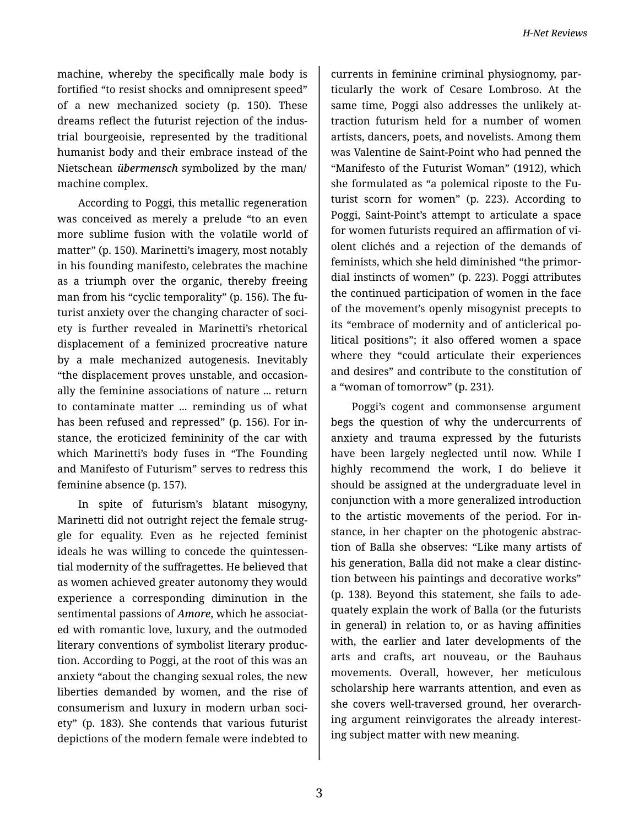machine, whereby the specifically male body is fortified "to resist shocks and omnipresent speed" of a new mechanized society (p. 150). These dreams reflect the futurist rejection of the indus‐ trial bourgeoisie, represented by the traditional humanist body and their embrace instead of the Nietschean *übermensch* symbolized by the man/ machine complex.

According to Poggi, this metallic regeneration was conceived as merely a prelude "to an even more sublime fusion with the volatile world of matter" (p. 150). Marinetti's imagery, most notably in his founding manifesto, celebrates the machine as a triumph over the organic, thereby freeing man from his "cyclic temporality" (p. 156). The fu‐ turist anxiety over the changing character of society is further revealed in Marinetti's rhetorical displacement of a feminized procreative nature by a male mechanized autogenesis. Inevitably "the displacement proves unstable, and occasion‐ ally the feminine associations of nature ... return to contaminate matter ... reminding us of what has been refused and repressed" (p. 156). For in‐ stance, the eroticized femininity of the car with which Marinetti's body fuses in "The Founding and Manifesto of Futurism" serves to redress this feminine absence (p. 157).

In spite of futurism's blatant misogyny, Marinetti did not outright reject the female strug‐ gle for equality. Even as he rejected feminist ideals he was willing to concede the quintessen‐ tial modernity of the suffragettes. He believed that as women achieved greater autonomy they would experience a corresponding diminution in the sentimental passions of *Amore*, which he associat‐ ed with romantic love, luxury, and the outmoded literary conventions of symbolist literary produc‐ tion. According to Poggi, at the root of this was an anxiety "about the changing sexual roles, the new liberties demanded by women, and the rise of consumerism and luxury in modern urban soci‐ ety" (p. 183). She contends that various futurist depictions of the modern female were indebted to

currents in feminine criminal physiognomy, par‐ ticularly the work of Cesare Lombroso. At the same time, Poggi also addresses the unlikely at‐ traction futurism held for a number of women artists, dancers, poets, and novelists. Among them was Valentine de Saint-Point who had penned the "Manifesto of the Futurist Woman" (1912), which she formulated as "a polemical riposte to the Fu‐ turist scorn for women" (p. 223). According to Poggi, Saint-Point's attempt to articulate a space for women futurists required an affirmation of vi‐ olent clichés and a rejection of the demands of feminists, which she held diminished "the primor‐ dial instincts of women" (p. 223). Poggi attributes the continued participation of women in the face of the movement's openly misogynist precepts to its "embrace of modernity and of anticlerical po‐ litical positions"; it also offered women a space where they "could articulate their experiences and desires" and contribute to the constitution of a "woman of tomorrow" (p. 231).

Poggi's cogent and commonsense argument begs the question of why the undercurrents of anxiety and trauma expressed by the futurists have been largely neglected until now. While I highly recommend the work, I do believe it should be assigned at the undergraduate level in conjunction with a more generalized introduction to the artistic movements of the period. For in‐ stance, in her chapter on the photogenic abstrac‐ tion of Balla she observes: "Like many artists of his generation, Balla did not make a clear distinc‐ tion between his paintings and decorative works" (p. 138). Beyond this statement, she fails to ade‐ quately explain the work of Balla (or the futurists in general) in relation to, or as having affinities with, the earlier and later developments of the arts and crafts, art nouveau, or the Bauhaus movements. Overall, however, her meticulous scholarship here warrants attention, and even as she covers well-traversed ground, her overarch‐ ing argument reinvigorates the already interest‐ ing subject matter with new meaning.